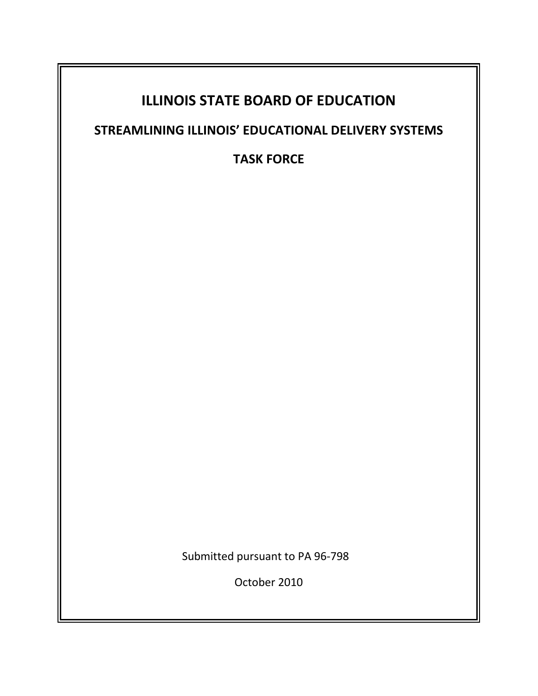# **ILLINOIS STATE BOARD OF EDUCATION**

# **STREAMLINING ILLINOIS' EDUCATIONAL DELIVERY SYSTEMS**

**TASK FORCE** 

Submitted pursuant to PA 96-798

October 2010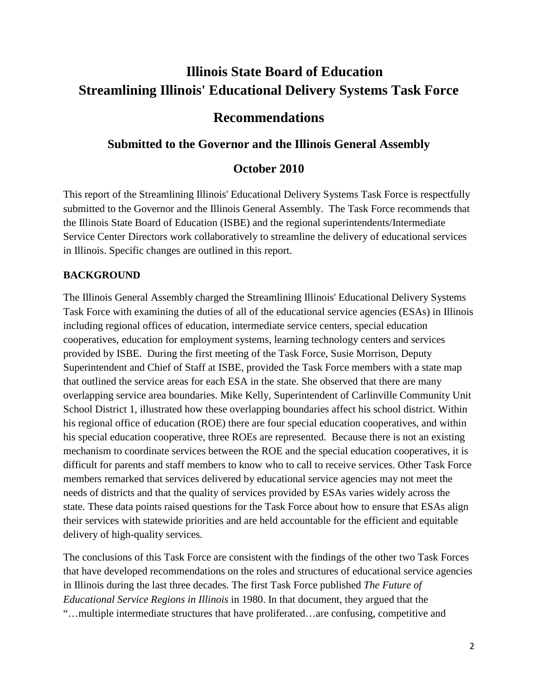# **Illinois State Board of Education Streamlining Illinois' Educational Delivery Systems Task Force**

# **Recommendations**

# **Submitted to the Governor and the Illinois General Assembly**

# **October 2010**

This report of the Streamlining Illinois' Educational Delivery Systems Task Force is respectfully submitted to the Governor and the Illinois General Assembly. The Task Force recommends that the Illinois State Board of Education (ISBE) and the regional superintendents/Intermediate Service Center Directors work collaboratively to streamline the delivery of educational services in Illinois. Specific changes are outlined in this report.

## **BACKGROUND**

The Illinois General Assembly charged the Streamlining Illinois' Educational Delivery Systems Task Force with examining the duties of all of the educational service agencies (ESAs) in Illinois including regional offices of education, intermediate service centers, special education cooperatives, education for employment systems, learning technology centers and services provided by ISBE. During the first meeting of the Task Force, Susie Morrison, Deputy Superintendent and Chief of Staff at ISBE, provided the Task Force members with a state map that outlined the service areas for each ESA in the state. She observed that there are many overlapping service area boundaries. Mike Kelly, Superintendent of Carlinville Community Unit School District 1, illustrated how these overlapping boundaries affect his school district. Within his regional office of education (ROE) there are four special education cooperatives, and within his special education cooperative, three ROEs are represented. Because there is not an existing mechanism to coordinate services between the ROE and the special education cooperatives, it is difficult for parents and staff members to know who to call to receive services. Other Task Force members remarked that services delivered by educational service agencies may not meet the needs of districts and that the quality of services provided by ESAs varies widely across the state. These data points raised questions for the Task Force about how to ensure that ESAs align their services with statewide priorities and are held accountable for the efficient and equitable delivery of high-quality services.

The conclusions of this Task Force are consistent with the findings of the other two Task Forces that have developed recommendations on the roles and structures of educational service agencies in Illinois during the last three decades. The first Task Force published *The Future of Educational Service Regions in Illinois* in 1980. In that document, they argued that the "…multiple intermediate structures that have proliferated…are confusing, competitive and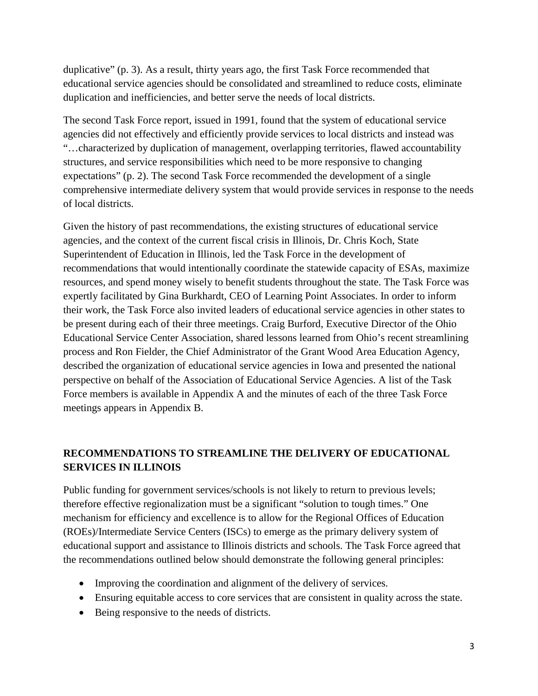duplicative" (p. 3). As a result, thirty years ago, the first Task Force recommended that educational service agencies should be consolidated and streamlined to reduce costs, eliminate duplication and inefficiencies, and better serve the needs of local districts.

The second Task Force report, issued in 1991, found that the system of educational service agencies did not effectively and efficiently provide services to local districts and instead was "…characterized by duplication of management, overlapping territories, flawed accountability structures, and service responsibilities which need to be more responsive to changing expectations" (p. 2). The second Task Force recommended the development of a single comprehensive intermediate delivery system that would provide services in response to the needs of local districts.

Given the history of past recommendations, the existing structures of educational service agencies, and the context of the current fiscal crisis in Illinois, Dr. Chris Koch, State Superintendent of Education in Illinois, led the Task Force in the development of recommendations that would intentionally coordinate the statewide capacity of ESAs, maximize resources, and spend money wisely to benefit students throughout the state. The Task Force was expertly facilitated by Gina Burkhardt, CEO of Learning Point Associates. In order to inform their work, the Task Force also invited leaders of educational service agencies in other states to be present during each of their three meetings. Craig Burford, Executive Director of the Ohio Educational Service Center Association, shared lessons learned from Ohio's recent streamlining process and Ron Fielder, the Chief Administrator of the Grant Wood Area Education Agency, described the organization of educational service agencies in Iowa and presented the national perspective on behalf of the Association of Educational Service Agencies. A list of the Task Force members is available in Appendix A and the minutes of each of the three Task Force meetings appears in Appendix B.

## **RECOMMENDATIONS TO STREAMLINE THE DELIVERY OF EDUCATIONAL SERVICES IN ILLINOIS**

Public funding for government services/schools is not likely to return to previous levels; therefore effective regionalization must be a significant "solution to tough times." One mechanism for efficiency and excellence is to allow for the Regional Offices of Education (ROEs)/Intermediate Service Centers (ISCs) to emerge as the primary delivery system of educational support and assistance to Illinois districts and schools. The Task Force agreed that the recommendations outlined below should demonstrate the following general principles:

- Improving the coordination and alignment of the delivery of services.
- Ensuring equitable access to core services that are consistent in quality across the state.
- Being responsive to the needs of districts.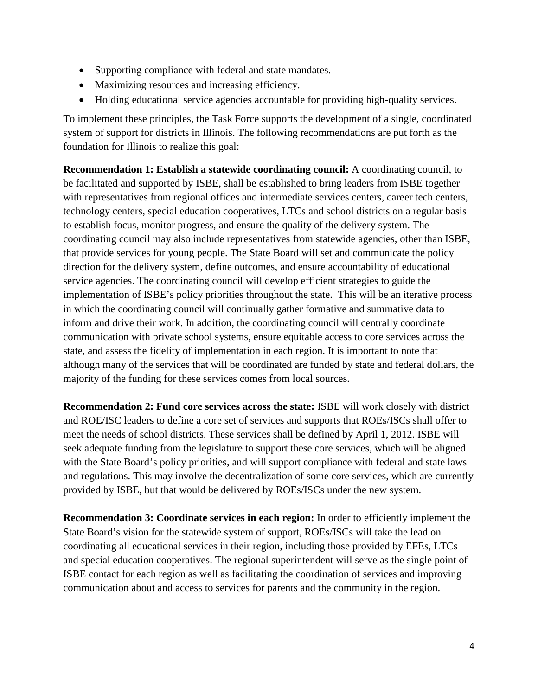- Supporting compliance with federal and state mandates.
- Maximizing resources and increasing efficiency.
- Holding educational service agencies accountable for providing high-quality services.

To implement these principles, the Task Force supports the development of a single, coordinated system of support for districts in Illinois. The following recommendations are put forth as the foundation for Illinois to realize this goal:

**Recommendation 1: Establish a statewide coordinating council:** A coordinating council, to be facilitated and supported by ISBE, shall be established to bring leaders from ISBE together with representatives from regional offices and intermediate services centers, career tech centers, technology centers, special education cooperatives, LTCs and school districts on a regular basis to establish focus, monitor progress, and ensure the quality of the delivery system. The coordinating council may also include representatives from statewide agencies, other than ISBE, that provide services for young people. The State Board will set and communicate the policy direction for the delivery system, define outcomes, and ensure accountability of educational service agencies. The coordinating council will develop efficient strategies to guide the implementation of ISBE's policy priorities throughout the state. This will be an iterative process in which the coordinating council will continually gather formative and summative data to inform and drive their work. In addition, the coordinating council will centrally coordinate communication with private school systems, ensure equitable access to core services across the state, and assess the fidelity of implementation in each region. It is important to note that although many of the services that will be coordinated are funded by state and federal dollars, the majority of the funding for these services comes from local sources.

**Recommendation 2: Fund core services across the state:** ISBE will work closely with district and ROE/ISC leaders to define a core set of services and supports that ROEs/ISCs shall offer to meet the needs of school districts. These services shall be defined by April 1, 2012. ISBE will seek adequate funding from the legislature to support these core services, which will be aligned with the State Board's policy priorities, and will support compliance with federal and state laws and regulations. This may involve the decentralization of some core services, which are currently provided by ISBE, but that would be delivered by ROEs/ISCs under the new system.

**Recommendation 3: Coordinate services in each region:** In order to efficiently implement the State Board's vision for the statewide system of support, ROEs/ISCs will take the lead on coordinating all educational services in their region, including those provided by EFEs, LTCs and special education cooperatives. The regional superintendent will serve as the single point of ISBE contact for each region as well as facilitating the coordination of services and improving communication about and access to services for parents and the community in the region.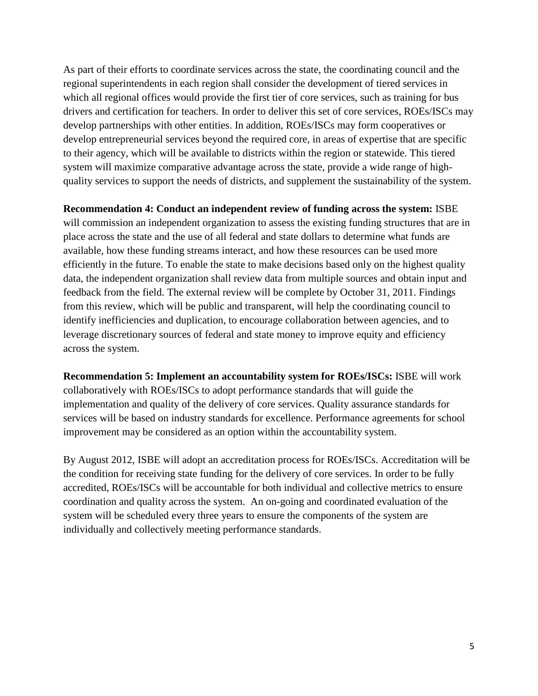As part of their efforts to coordinate services across the state, the coordinating council and the regional superintendents in each region shall consider the development of tiered services in which all regional offices would provide the first tier of core services, such as training for bus drivers and certification for teachers. In order to deliver this set of core services, ROEs/ISCs may develop partnerships with other entities. In addition, ROEs/ISCs may form cooperatives or develop entrepreneurial services beyond the required core, in areas of expertise that are specific to their agency, which will be available to districts within the region or statewide. This tiered system will maximize comparative advantage across the state, provide a wide range of highquality services to support the needs of districts, and supplement the sustainability of the system.

#### **Recommendation 4: Conduct an independent review of funding across the system:** ISBE

will commission an independent organization to assess the existing funding structures that are in place across the state and the use of all federal and state dollars to determine what funds are available, how these funding streams interact, and how these resources can be used more efficiently in the future. To enable the state to make decisions based only on the highest quality data, the independent organization shall review data from multiple sources and obtain input and feedback from the field. The external review will be complete by October 31, 2011. Findings from this review, which will be public and transparent, will help the coordinating council to identify inefficiencies and duplication, to encourage collaboration between agencies, and to leverage discretionary sources of federal and state money to improve equity and efficiency across the system.

**Recommendation 5: Implement an accountability system for ROEs/ISCs:** ISBE will work collaboratively with ROEs/ISCs to adopt performance standards that will guide the implementation and quality of the delivery of core services. Quality assurance standards for services will be based on industry standards for excellence. Performance agreements for school improvement may be considered as an option within the accountability system.

By August 2012, ISBE will adopt an accreditation process for ROEs/ISCs. Accreditation will be the condition for receiving state funding for the delivery of core services. In order to be fully accredited, ROEs/ISCs will be accountable for both individual and collective metrics to ensure coordination and quality across the system. An on-going and coordinated evaluation of the system will be scheduled every three years to ensure the components of the system are individually and collectively meeting performance standards.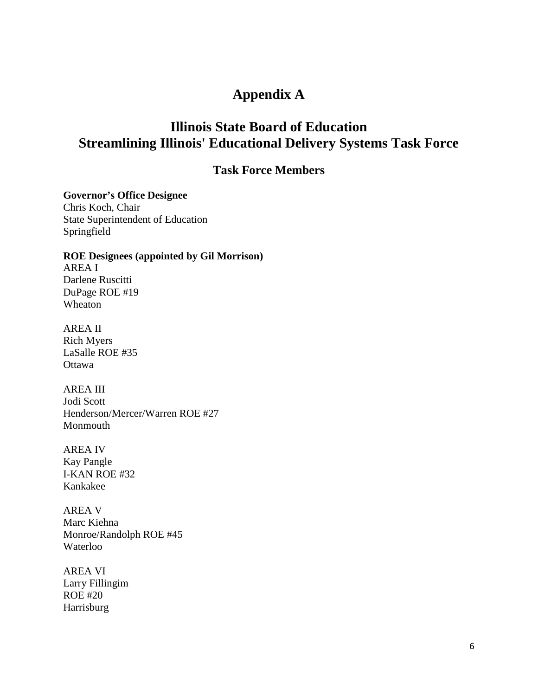# **Appendix A**

# **Illinois State Board of Education Streamlining Illinois' Educational Delivery Systems Task Force**

## **Task Force Members**

**Governor's Office Designee** 

Chris Koch, Chair State Superintendent of Education Springfield

#### **ROE Designees (appointed by Gil Morrison)**

AREA I Darlene Ruscitti DuPage ROE #19 Wheaton

AREA II Rich Myers LaSalle ROE #35 **Ottawa** 

AREA III Jodi Scott Henderson/Mercer/Warren ROE #27 Monmouth

AREA IV Kay Pangle I-KAN ROE #32 Kankakee

AREA V Marc Kiehna Monroe/Randolph ROE #45 Waterloo

AREA VI Larry Fillingim ROE #20 Harrisburg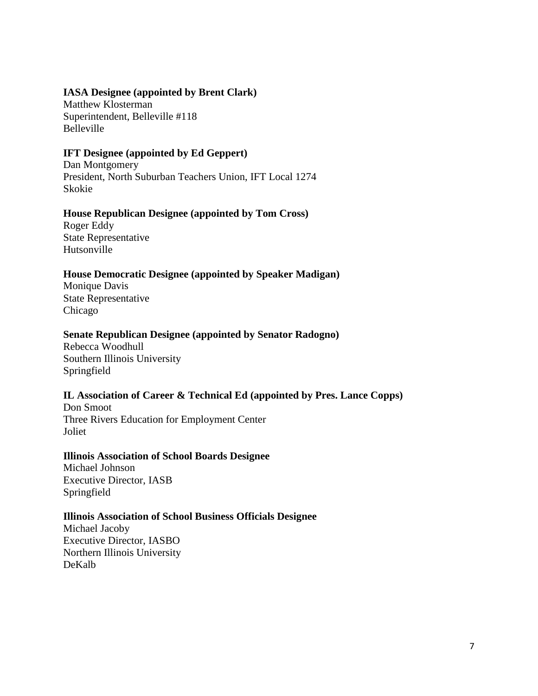### **IASA Designee (appointed by Brent Clark)**

Matthew Klosterman Superintendent, Belleville #118 Belleville

### **IFT Designee (appointed by Ed Geppert)**

Dan Montgomery President, North Suburban Teachers Union, IFT Local 1274 Skokie

### **House Republican Designee (appointed by Tom Cross)**

Roger Eddy State Representative Hutsonville

### **House Democratic Designee (appointed by Speaker Madigan)**

Monique Davis State Representative Chicago

#### **Senate Republican Designee (appointed by Senator Radogno)**

Rebecca Woodhull Southern Illinois University Springfield

### **IL Association of Career & Technical Ed (appointed by Pres. Lance Copps)**

Don Smoot Three Rivers Education for Employment Center Joliet

#### **Illinois Association of School Boards Designee**

Michael Johnson Executive Director, IASB Springfield

#### **Illinois Association of School Business Officials Designee**

Michael Jacoby Executive Director, IASBO Northern Illinois University DeKalb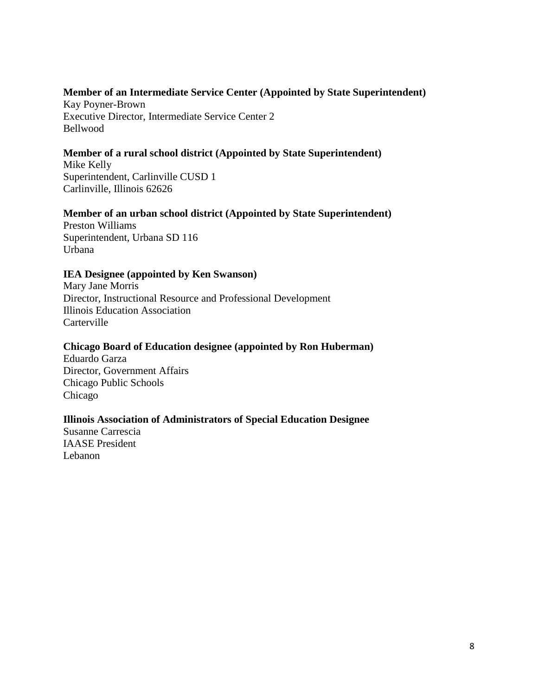## **Member of an Intermediate Service Center (Appointed by State Superintendent)**

Kay Poyner-Brown Executive Director, Intermediate Service Center 2 Bellwood

## **Member of a rural school district (Appointed by State Superintendent)**

Mike Kelly Superintendent, Carlinville CUSD 1 Carlinville, Illinois 62626

## **Member of an urban school district (Appointed by State Superintendent)**

Preston Williams Superintendent, Urbana SD 116 Urbana

### **IEA Designee (appointed by Ken Swanson)**

Mary Jane Morris Director, Instructional Resource and Professional Development Illinois Education Association **Carterville** 

## **Chicago Board of Education designee (appointed by Ron Huberman)**

Eduardo Garza Director, Government Affairs Chicago Public Schools Chicago

## **Illinois Association of Administrators of Special Education Designee**

Susanne Carrescia IAASE President Lebanon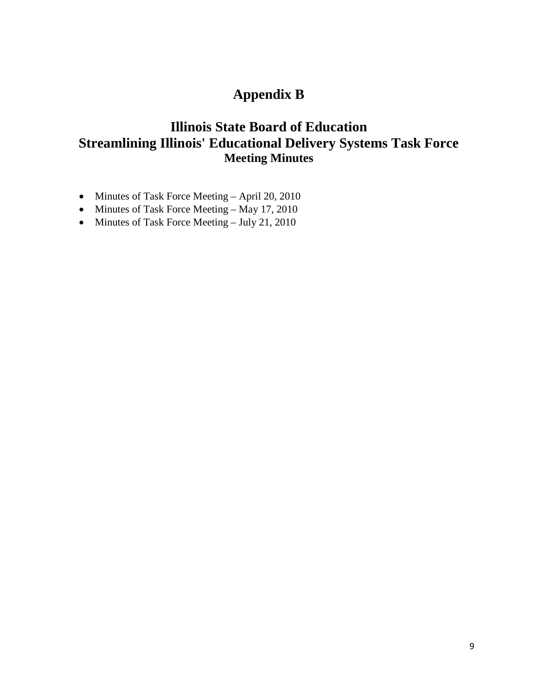# **Appendix B**

# **Illinois State Board of Education Streamlining Illinois' Educational Delivery Systems Task Force Meeting Minutes**

- Minutes of Task Force Meeting April 20, 2010
- Minutes of Task Force Meeting May 17, 2010
- Minutes of Task Force Meeting July 21, 2010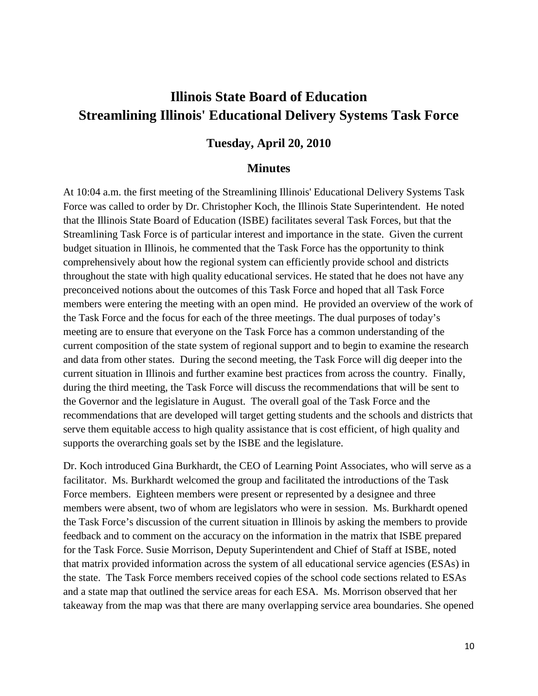# **Illinois State Board of Education Streamlining Illinois' Educational Delivery Systems Task Force**

### **Tuesday, April 20, 2010**

#### **Minutes**

At 10:04 a.m. the first meeting of the Streamlining Illinois' Educational Delivery Systems Task Force was called to order by Dr. Christopher Koch, the Illinois State Superintendent. He noted that the Illinois State Board of Education (ISBE) facilitates several Task Forces, but that the Streamlining Task Force is of particular interest and importance in the state. Given the current budget situation in Illinois, he commented that the Task Force has the opportunity to think comprehensively about how the regional system can efficiently provide school and districts throughout the state with high quality educational services. He stated that he does not have any preconceived notions about the outcomes of this Task Force and hoped that all Task Force members were entering the meeting with an open mind. He provided an overview of the work of the Task Force and the focus for each of the three meetings. The dual purposes of today's meeting are to ensure that everyone on the Task Force has a common understanding of the current composition of the state system of regional support and to begin to examine the research and data from other states. During the second meeting, the Task Force will dig deeper into the current situation in Illinois and further examine best practices from across the country. Finally, during the third meeting, the Task Force will discuss the recommendations that will be sent to the Governor and the legislature in August. The overall goal of the Task Force and the recommendations that are developed will target getting students and the schools and districts that serve them equitable access to high quality assistance that is cost efficient, of high quality and supports the overarching goals set by the ISBE and the legislature.

Dr. Koch introduced Gina Burkhardt, the CEO of Learning Point Associates, who will serve as a facilitator. Ms. Burkhardt welcomed the group and facilitated the introductions of the Task Force members. Eighteen members were present or represented by a designee and three members were absent, two of whom are legislators who were in session. Ms. Burkhardt opened the Task Force's discussion of the current situation in Illinois by asking the members to provide feedback and to comment on the accuracy on the information in the matrix that ISBE prepared for the Task Force. Susie Morrison, Deputy Superintendent and Chief of Staff at ISBE, noted that matrix provided information across the system of all educational service agencies (ESAs) in the state. The Task Force members received copies of the school code sections related to ESAs and a state map that outlined the service areas for each ESA. Ms. Morrison observed that her takeaway from the map was that there are many overlapping service area boundaries. She opened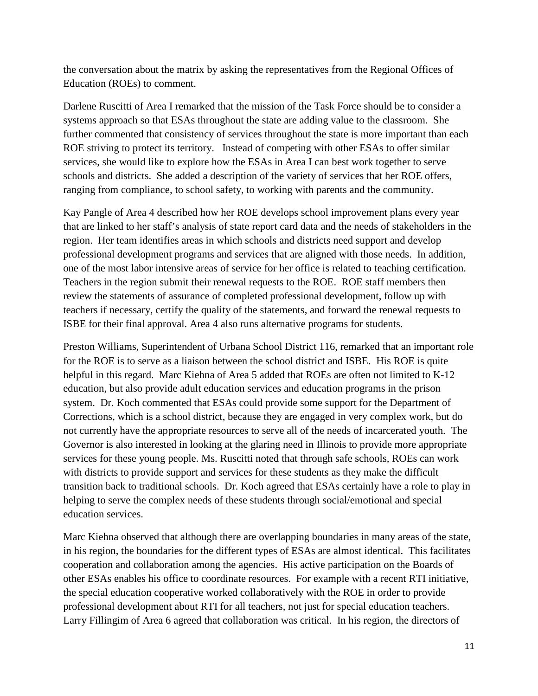the conversation about the matrix by asking the representatives from the Regional Offices of Education (ROEs) to comment.

Darlene Ruscitti of Area I remarked that the mission of the Task Force should be to consider a systems approach so that ESAs throughout the state are adding value to the classroom. She further commented that consistency of services throughout the state is more important than each ROE striving to protect its territory. Instead of competing with other ESAs to offer similar services, she would like to explore how the ESAs in Area I can best work together to serve schools and districts. She added a description of the variety of services that her ROE offers, ranging from compliance, to school safety, to working with parents and the community.

Kay Pangle of Area 4 described how her ROE develops school improvement plans every year that are linked to her staff's analysis of state report card data and the needs of stakeholders in the region. Her team identifies areas in which schools and districts need support and develop professional development programs and services that are aligned with those needs. In addition, one of the most labor intensive areas of service for her office is related to teaching certification. Teachers in the region submit their renewal requests to the ROE. ROE staff members then review the statements of assurance of completed professional development, follow up with teachers if necessary, certify the quality of the statements, and forward the renewal requests to ISBE for their final approval. Area 4 also runs alternative programs for students.

Preston Williams, Superintendent of Urbana School District 116, remarked that an important role for the ROE is to serve as a liaison between the school district and ISBE. His ROE is quite helpful in this regard. Marc Kiehna of Area 5 added that ROEs are often not limited to K-12 education, but also provide adult education services and education programs in the prison system. Dr. Koch commented that ESAs could provide some support for the Department of Corrections, which is a school district, because they are engaged in very complex work, but do not currently have the appropriate resources to serve all of the needs of incarcerated youth. The Governor is also interested in looking at the glaring need in Illinois to provide more appropriate services for these young people. Ms. Ruscitti noted that through safe schools, ROEs can work with districts to provide support and services for these students as they make the difficult transition back to traditional schools. Dr. Koch agreed that ESAs certainly have a role to play in helping to serve the complex needs of these students through social/emotional and special education services.

Marc Kiehna observed that although there are overlapping boundaries in many areas of the state, in his region, the boundaries for the different types of ESAs are almost identical. This facilitates cooperation and collaboration among the agencies. His active participation on the Boards of other ESAs enables his office to coordinate resources. For example with a recent RTI initiative, the special education cooperative worked collaboratively with the ROE in order to provide professional development about RTI for all teachers, not just for special education teachers. Larry Fillingim of Area 6 agreed that collaboration was critical. In his region, the directors of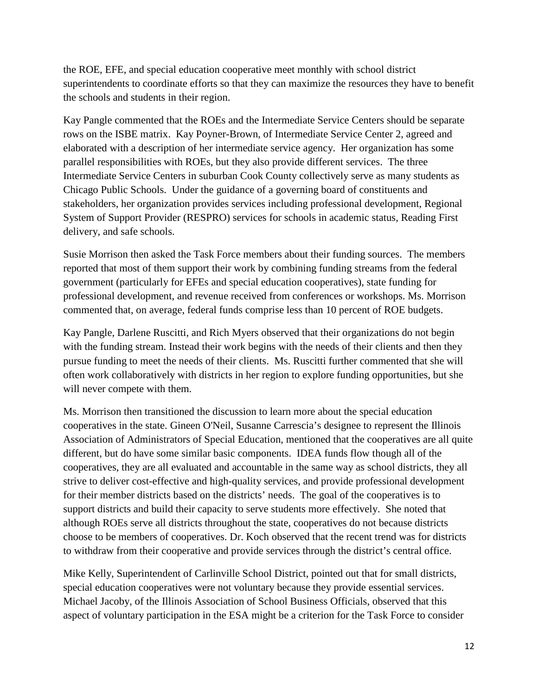the ROE, EFE, and special education cooperative meet monthly with school district superintendents to coordinate efforts so that they can maximize the resources they have to benefit the schools and students in their region.

Kay Pangle commented that the ROEs and the Intermediate Service Centers should be separate rows on the ISBE matrix. Kay Poyner-Brown, of Intermediate Service Center 2, agreed and elaborated with a description of her intermediate service agency. Her organization has some parallel responsibilities with ROEs, but they also provide different services. The three Intermediate Service Centers in suburban Cook County collectively serve as many students as Chicago Public Schools. Under the guidance of a governing board of constituents and stakeholders, her organization provides services including professional development, [Regional](http://www.isbe.state.il.us/sos/pdf/respro_contacts.pdf)  [System of Support Provider \(](http://www.isbe.state.il.us/sos/pdf/respro_contacts.pdf)RESPRO) services for schools in academic status, Reading First delivery, and safe schools.

Susie Morrison then asked the Task Force members about their funding sources. The members reported that most of them support their work by combining funding streams from the federal government (particularly for EFEs and special education cooperatives), state funding for professional development, and revenue received from conferences or workshops. Ms. Morrison commented that, on average, federal funds comprise less than 10 percent of ROE budgets.

Kay Pangle, Darlene Ruscitti, and Rich Myers observed that their organizations do not begin with the funding stream. Instead their work begins with the needs of their clients and then they pursue funding to meet the needs of their clients. Ms. Ruscitti further commented that she will often work collaboratively with districts in her region to explore funding opportunities, but she will never compete with them.

Ms. Morrison then transitioned the discussion to learn more about the special education cooperatives in the state. Gineen O'Neil, Susanne Carrescia's designee to represent the Illinois Association of Administrators of Special Education, mentioned that the cooperatives are all quite different, but do have some similar basic components. IDEA funds flow though all of the cooperatives, they are all evaluated and accountable in the same way as school districts, they all strive to deliver cost-effective and high-quality services, and provide professional development for their member districts based on the districts' needs. The goal of the cooperatives is to support districts and build their capacity to serve students more effectively. She noted that although ROEs serve all districts throughout the state, cooperatives do not because districts choose to be members of cooperatives. Dr. Koch observed that the recent trend was for districts to withdraw from their cooperative and provide services through the district's central office.

Mike Kelly, Superintendent of Carlinville School District, pointed out that for small districts, special education cooperatives were not voluntary because they provide essential services. Michael Jacoby, of the Illinois Association of School Business Officials, observed that this aspect of voluntary participation in the ESA might be a criterion for the Task Force to consider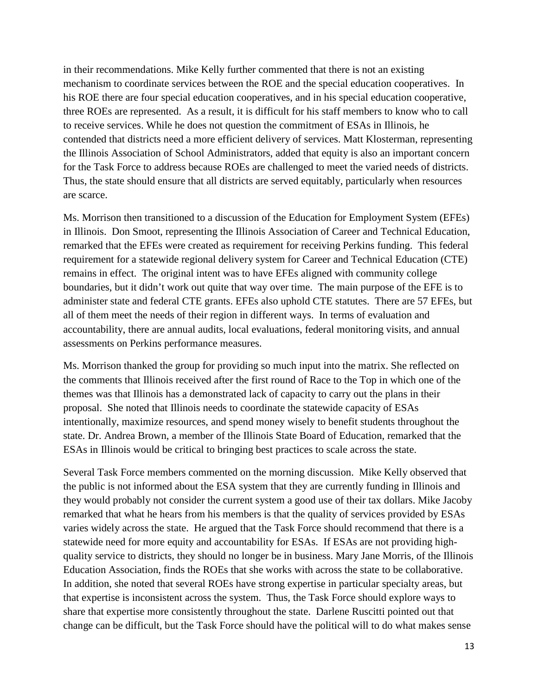in their recommendations. Mike Kelly further commented that there is not an existing mechanism to coordinate services between the ROE and the special education cooperatives. In his ROE there are four special education cooperatives, and in his special education cooperative, three ROEs are represented. As a result, it is difficult for his staff members to know who to call to receive services. While he does not question the commitment of ESAs in Illinois, he contended that districts need a more efficient delivery of services. Matt Klosterman, representing the Illinois Association of School Administrators, added that equity is also an important concern for the Task Force to address because ROEs are challenged to meet the varied needs of districts. Thus, the state should ensure that all districts are served equitably, particularly when resources are scarce.

Ms. Morrison then transitioned to a discussion of the Education for Employment System (EFEs) in Illinois. Don Smoot, representing the Illinois Association of Career and Technical Education, remarked that the EFEs were created as requirement for receiving Perkins funding. This federal requirement for a statewide regional delivery system for Career and Technical Education (CTE) remains in effect. The original intent was to have EFEs aligned with community college boundaries, but it didn't work out quite that way over time. The main purpose of the EFE is to administer state and federal CTE grants. EFEs also uphold CTE statutes. There are 57 EFEs, but all of them meet the needs of their region in different ways. In terms of evaluation and accountability, there are annual audits, local evaluations, federal monitoring visits, and annual assessments on Perkins performance measures.

Ms. Morrison thanked the group for providing so much input into the matrix. She reflected on the comments that Illinois received after the first round of Race to the Top in which one of the themes was that Illinois has a demonstrated lack of capacity to carry out the plans in their proposal. She noted that Illinois needs to coordinate the statewide capacity of ESAs intentionally, maximize resources, and spend money wisely to benefit students throughout the state. Dr. Andrea Brown, a member of the Illinois State Board of Education, remarked that the ESAs in Illinois would be critical to bringing best practices to scale across the state.

Several Task Force members commented on the morning discussion. Mike Kelly observed that the public is not informed about the ESA system that they are currently funding in Illinois and they would probably not consider the current system a good use of their tax dollars. Mike Jacoby remarked that what he hears from his members is that the quality of services provided by ESAs varies widely across the state. He argued that the Task Force should recommend that there is a statewide need for more equity and accountability for ESAs. If ESAs are not providing highquality service to districts, they should no longer be in business. Mary Jane Morris, of the Illinois Education Association, finds the ROEs that she works with across the state to be collaborative. In addition, she noted that several ROEs have strong expertise in particular specialty areas, but that expertise is inconsistent across the system. Thus, the Task Force should explore ways to share that expertise more consistently throughout the state. Darlene Ruscitti pointed out that change can be difficult, but the Task Force should have the political will to do what makes sense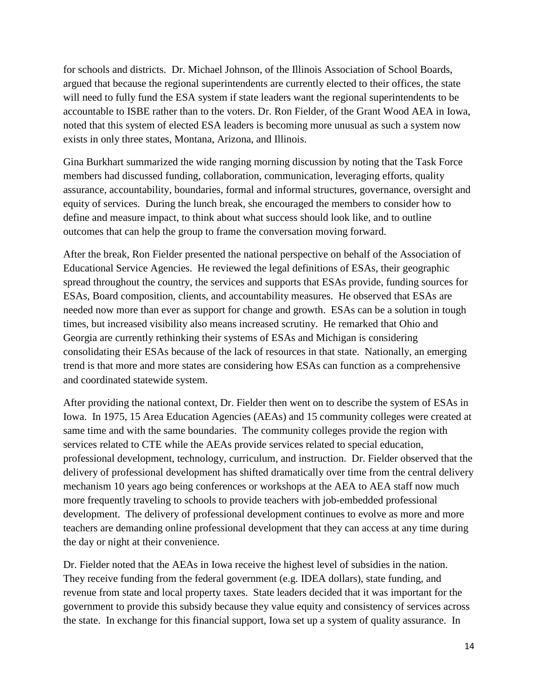for schools and districts. Dr. Michael Johnson, of the Illinois Association of School Boards, argued that because the regional superintendents are currently elected to their offices, the state will need to fully fund the ESA system if state leaders want the regional superintendents to be accountable to ISBE rather than to the voters. Dr. Ron Fielder, of the Grant Wood AEA in Iowa, noted that this system of elected ESA leaders is becoming more unusual as such a system now exists in only three states, Montana, Arizona, and Illinois.

Gina Burkhart summarized the wide ranging morning discussion by noting that the Task Force members had discussed funding, collaboration, communication, leveraging efforts, quality assurance, accountability, boundaries, formal and informal structures, governance, oversight and equity of services. During the lunch break, she encouraged the members to consider how to define and measure impact, to think about what success should look like, and to outline outcomes that can help the group to frame the conversation moving forward.

After the break, Ron Fielder presented the national perspective on behalf of the Association of Educational Service Agencies. He reviewed the legal definitions of ESAs, their geographic spread throughout the country, the services and supports that ESAs provide, funding sources for ESAs, Board composition, clients, and accountability measures. He observed that ESAs are needed now more than ever as support for change and growth. ESAs can be a solution in tough times, but increased visibility also means increased scrutiny. He remarked that Ohio and Georgia are currently rethinking their systems of ESAs and Michigan is considering consolidating their ESAs because of the lack of resources in that state. Nationally, an emerging trend is that more and more states are considering how ESAs can function as a comprehensive and coordinated statewide system.

After providing the national context, Dr. Fielder then went on to describe the system of ESAs in Iowa. In 1975, 15 Area Education Agencies (AEAs) and 15 community colleges were created at same time and with the same boundaries. The community colleges provide the region with services related to CTE while the AEAs provide services related to special education, professional development, technology, curriculum, and instruction. Dr. Fielder observed that the delivery of professional development has shifted dramatically over time from the central delivery mechanism 10 years ago being conferences or workshops at the AEA to AEA staff now much more frequently traveling to schools to provide teachers with job-embedded professional development. The delivery of professional development continues to evolve as more and more teachers are demanding online professional development that they can access at any time during the day or night at their convenience.

Dr. Fielder noted that the AEAs in Iowa receive the highest level of subsidies in the nation. They receive funding from the federal government (e.g. IDEA dollars), state funding, and revenue from state and local property taxes. State leaders decided that it was important for the government to provide this subsidy because they value equity and consistency of services across the state. In exchange for this financial support, Iowa set up a system of quality assurance. In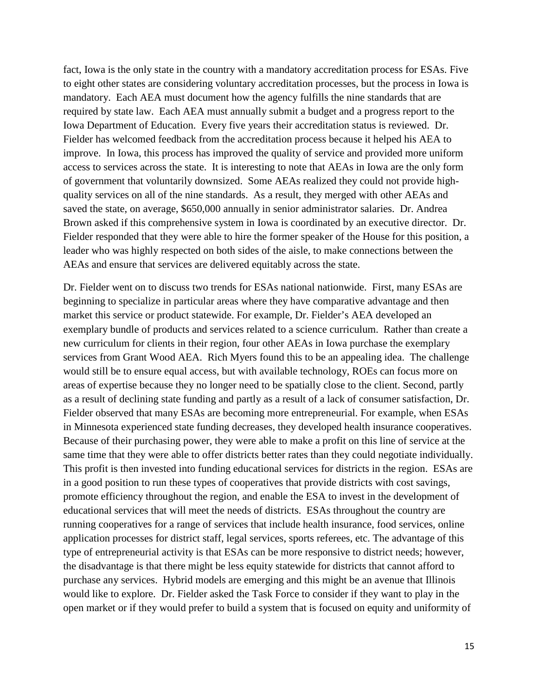fact, Iowa is the only state in the country with a mandatory accreditation process for ESAs. Five to eight other states are considering voluntary accreditation processes, but the process in Iowa is mandatory. Each AEA must document how the agency fulfills the nine standards that are required by state law. Each AEA must annually submit a budget and a progress report to the Iowa Department of Education. Every five years their accreditation status is reviewed. Dr. Fielder has welcomed feedback from the accreditation process because it helped his AEA to improve. In Iowa, this process has improved the quality of service and provided more uniform access to services across the state. It is interesting to note that AEAs in Iowa are the only form of government that voluntarily downsized. Some AEAs realized they could not provide highquality services on all of the nine standards. As a result, they merged with other AEAs and saved the state, on average, \$650,000 annually in senior administrator salaries. Dr. Andrea Brown asked if this comprehensive system in Iowa is coordinated by an executive director. Dr. Fielder responded that they were able to hire the former speaker of the House for this position, a leader who was highly respected on both sides of the aisle, to make connections between the AEAs and ensure that services are delivered equitably across the state.

Dr. Fielder went on to discuss two trends for ESAs national nationwide. First, many ESAs are beginning to specialize in particular areas where they have comparative advantage and then market this service or product statewide. For example, Dr. Fielder's AEA developed an exemplary bundle of products and services related to a science curriculum. Rather than create a new curriculum for clients in their region, four other AEAs in Iowa purchase the exemplary services from Grant Wood AEA. Rich Myers found this to be an appealing idea. The challenge would still be to ensure equal access, but with available technology, ROEs can focus more on areas of expertise because they no longer need to be spatially close to the client. Second, partly as a result of declining state funding and partly as a result of a lack of consumer satisfaction, Dr. Fielder observed that many ESAs are becoming more entrepreneurial. For example, when ESAs in Minnesota experienced state funding decreases, they developed health insurance cooperatives. Because of their purchasing power, they were able to make a profit on this line of service at the same time that they were able to offer districts better rates than they could negotiate individually. This profit is then invested into funding educational services for districts in the region. ESAs are in a good position to run these types of cooperatives that provide districts with cost savings, promote efficiency throughout the region, and enable the ESA to invest in the development of educational services that will meet the needs of districts. ESAs throughout the country are running cooperatives for a range of services that include health insurance, food services, online application processes for district staff, legal services, sports referees, etc. The advantage of this type of entrepreneurial activity is that ESAs can be more responsive to district needs; however, the disadvantage is that there might be less equity statewide for districts that cannot afford to purchase any services. Hybrid models are emerging and this might be an avenue that Illinois would like to explore. Dr. Fielder asked the Task Force to consider if they want to play in the open market or if they would prefer to build a system that is focused on equity and uniformity of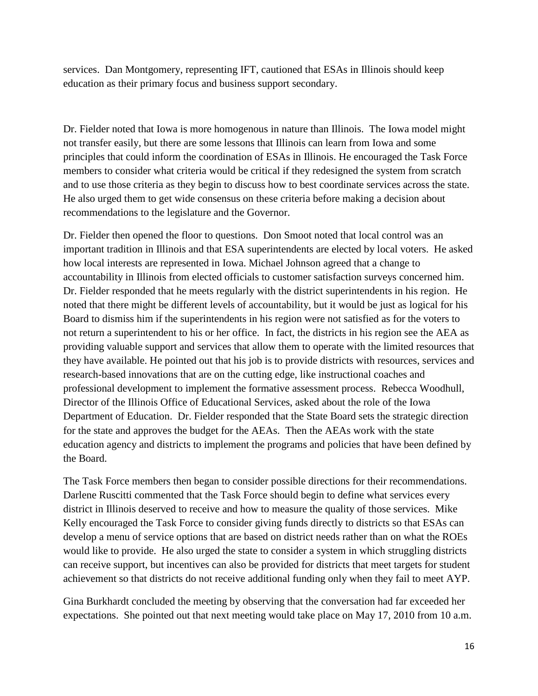services. Dan Montgomery, representing IFT, cautioned that ESAs in Illinois should keep education as their primary focus and business support secondary.

Dr. Fielder noted that Iowa is more homogenous in nature than Illinois. The Iowa model might not transfer easily, but there are some lessons that Illinois can learn from Iowa and some principles that could inform the coordination of ESAs in Illinois. He encouraged the Task Force members to consider what criteria would be critical if they redesigned the system from scratch and to use those criteria as they begin to discuss how to best coordinate services across the state. He also urged them to get wide consensus on these criteria before making a decision about recommendations to the legislature and the Governor.

Dr. Fielder then opened the floor to questions. Don Smoot noted that local control was an important tradition in Illinois and that ESA superintendents are elected by local voters. He asked how local interests are represented in Iowa. Michael Johnson agreed that a change to accountability in Illinois from elected officials to customer satisfaction surveys concerned him. Dr. Fielder responded that he meets regularly with the district superintendents in his region. He noted that there might be different levels of accountability, but it would be just as logical for his Board to dismiss him if the superintendents in his region were not satisfied as for the voters to not return a superintendent to his or her office. In fact, the districts in his region see the AEA as providing valuable support and services that allow them to operate with the limited resources that they have available. He pointed out that his job is to provide districts with resources, services and research-based innovations that are on the cutting edge, like instructional coaches and professional development to implement the formative assessment process. Rebecca Woodhull, Director of the Illinois Office of Educational Services, asked about the role of the Iowa Department of Education. Dr. Fielder responded that the State Board sets the strategic direction for the state and approves the budget for the AEAs. Then the AEAs work with the state education agency and districts to implement the programs and policies that have been defined by the Board.

The Task Force members then began to consider possible directions for their recommendations. Darlene Ruscitti commented that the Task Force should begin to define what services every district in Illinois deserved to receive and how to measure the quality of those services. Mike Kelly encouraged the Task Force to consider giving funds directly to districts so that ESAs can develop a menu of service options that are based on district needs rather than on what the ROEs would like to provide. He also urged the state to consider a system in which struggling districts can receive support, but incentives can also be provided for districts that meet targets for student achievement so that districts do not receive additional funding only when they fail to meet AYP.

Gina Burkhardt concluded the meeting by observing that the conversation had far exceeded her expectations. She pointed out that next meeting would take place on May 17, 2010 from 10 a.m.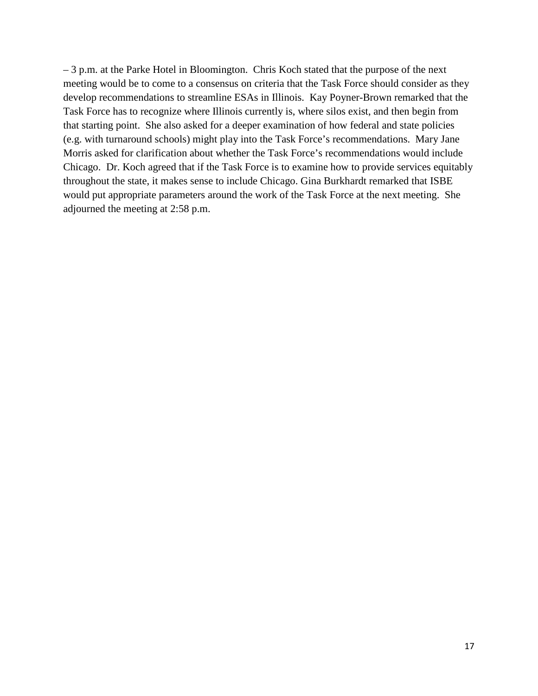– 3 p.m. at the Parke Hotel in Bloomington. Chris Koch stated that the purpose of the next meeting would be to come to a consensus on criteria that the Task Force should consider as they develop recommendations to streamline ESAs in Illinois. Kay Poyner-Brown remarked that the Task Force has to recognize where Illinois currently is, where silos exist, and then begin from that starting point. She also asked for a deeper examination of how federal and state policies (e.g. with turnaround schools) might play into the Task Force's recommendations. Mary Jane Morris asked for clarification about whether the Task Force's recommendations would include Chicago. Dr. Koch agreed that if the Task Force is to examine how to provide services equitably throughout the state, it makes sense to include Chicago. Gina Burkhardt remarked that ISBE would put appropriate parameters around the work of the Task Force at the next meeting. She adjourned the meeting at 2:58 p.m.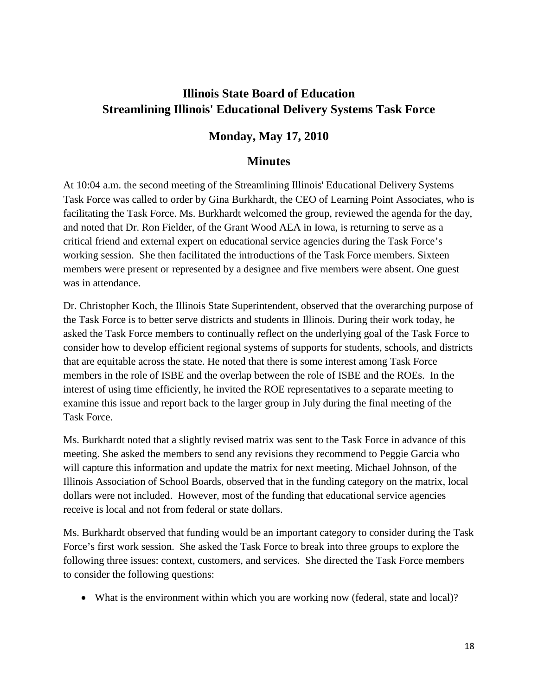# **Illinois State Board of Education Streamlining Illinois' Educational Delivery Systems Task Force**

# **Monday, May 17, 2010**

## **Minutes**

At 10:04 a.m. the second meeting of the Streamlining Illinois' Educational Delivery Systems Task Force was called to order by Gina Burkhardt, the CEO of Learning Point Associates, who is facilitating the Task Force. Ms. Burkhardt welcomed the group, reviewed the agenda for the day, and noted that Dr. Ron Fielder, of the Grant Wood AEA in Iowa, is returning to serve as a critical friend and external expert on educational service agencies during the Task Force's working session. She then facilitated the introductions of the Task Force members. Sixteen members were present or represented by a designee and five members were absent. One guest was in attendance.

Dr. Christopher Koch, the Illinois State Superintendent, observed that the overarching purpose of the Task Force is to better serve districts and students in Illinois. During their work today, he asked the Task Force members to continually reflect on the underlying goal of the Task Force to consider how to develop efficient regional systems of supports for students, schools, and districts that are equitable across the state. He noted that there is some interest among Task Force members in the role of ISBE and the overlap between the role of ISBE and the ROEs. In the interest of using time efficiently, he invited the ROE representatives to a separate meeting to examine this issue and report back to the larger group in July during the final meeting of the Task Force.

Ms. Burkhardt noted that a slightly revised matrix was sent to the Task Force in advance of this meeting. She asked the members to send any revisions they recommend to Peggie Garcia who will capture this information and update the matrix for next meeting. Michael Johnson, of the Illinois Association of School Boards, observed that in the funding category on the matrix, local dollars were not included. However, most of the funding that educational service agencies receive is local and not from federal or state dollars.

Ms. Burkhardt observed that funding would be an important category to consider during the Task Force's first work session. She asked the Task Force to break into three groups to explore the following three issues: context, customers, and services. She directed the Task Force members to consider the following questions:

• What is the environment within which you are working now (federal, state and local)?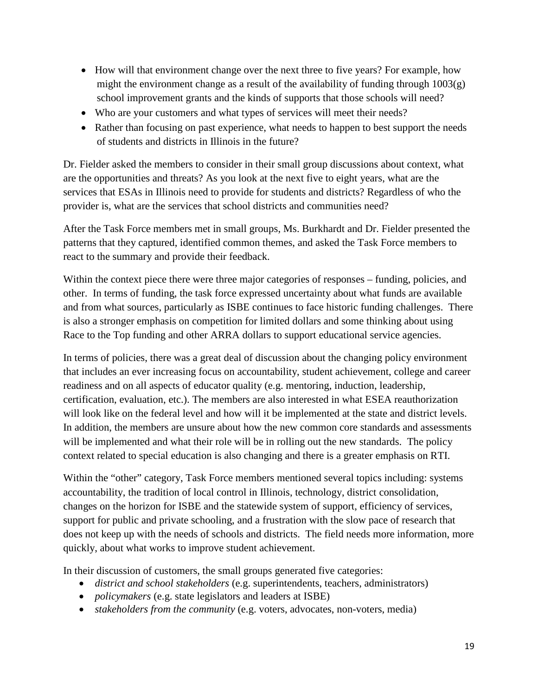- How will that environment change over the next three to five years? For example, how might the environment change as a result of the availability of funding through  $1003(g)$ school improvement grants and the kinds of supports that those schools will need?
- Who are your customers and what types of services will meet their needs?
- Rather than focusing on past experience, what needs to happen to best support the needs of students and districts in Illinois in the future?

Dr. Fielder asked the members to consider in their small group discussions about context, what are the opportunities and threats? As you look at the next five to eight years, what are the services that ESAs in Illinois need to provide for students and districts? Regardless of who the provider is, what are the services that school districts and communities need?

After the Task Force members met in small groups, Ms. Burkhardt and Dr. Fielder presented the patterns that they captured, identified common themes, and asked the Task Force members to react to the summary and provide their feedback.

Within the context piece there were three major categories of responses – funding, policies, and other. In terms of funding, the task force expressed uncertainty about what funds are available and from what sources, particularly as ISBE continues to face historic funding challenges. There is also a stronger emphasis on competition for limited dollars and some thinking about using Race to the Top funding and other ARRA dollars to support educational service agencies.

In terms of policies, there was a great deal of discussion about the changing policy environment that includes an ever increasing focus on accountability, student achievement, college and career readiness and on all aspects of educator quality (e.g. mentoring, induction, leadership, certification, evaluation, etc.). The members are also interested in what ESEA reauthorization will look like on the federal level and how will it be implemented at the state and district levels. In addition, the members are unsure about how the new common core standards and assessments will be implemented and what their role will be in rolling out the new standards. The policy context related to special education is also changing and there is a greater emphasis on RTI.

Within the "other" category, Task Force members mentioned several topics including: systems accountability, the tradition of local control in Illinois, technology, district consolidation, changes on the horizon for ISBE and the statewide system of support, efficiency of services, support for public and private schooling, and a frustration with the slow pace of research that does not keep up with the needs of schools and districts. The field needs more information, more quickly, about what works to improve student achievement.

In their discussion of customers, the small groups generated five categories:

- *district and school stakeholders* (e.g. superintendents, teachers, administrators)
- *policymakers* (e.g. state legislators and leaders at ISBE)
- *stakeholders from the community* (e.g. voters, advocates, non-voters, media)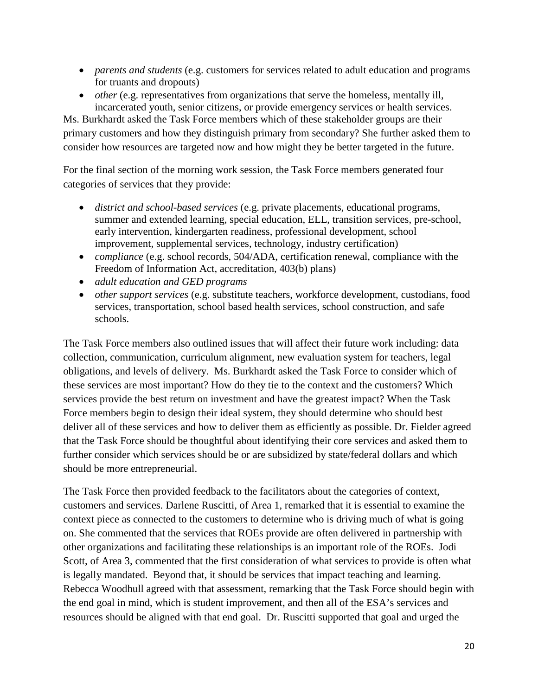- *parents and students* (e.g. customers for services related to adult education and programs for truants and dropouts)
- *other* (e.g. representatives from organizations that serve the homeless, mentally ill, incarcerated youth, senior citizens, or provide emergency services or health services.

Ms. Burkhardt asked the Task Force members which of these stakeholder groups are their primary customers and how they distinguish primary from secondary? She further asked them to consider how resources are targeted now and how might they be better targeted in the future.

For the final section of the morning work session, the Task Force members generated four categories of services that they provide:

- *district and school-based services* (e.g. private placements, educational programs, summer and extended learning, special education, ELL, transition services, pre-school, early intervention, kindergarten readiness, professional development, school improvement, supplemental services, technology, industry certification)
- *compliance* (e.g. school records, 504/ADA, certification renewal, compliance with the Freedom of Information Act, accreditation, 403(b) plans)
- *adult education and GED programs*
- *other support services* (e.g. substitute teachers, workforce development, custodians, food services, transportation, school based health services, school construction, and safe schools.

The Task Force members also outlined issues that will affect their future work including: data collection, communication, curriculum alignment, new evaluation system for teachers, legal obligations, and levels of delivery. Ms. Burkhardt asked the Task Force to consider which of these services are most important? How do they tie to the context and the customers? Which services provide the best return on investment and have the greatest impact? When the Task Force members begin to design their ideal system, they should determine who should best deliver all of these services and how to deliver them as efficiently as possible. Dr. Fielder agreed that the Task Force should be thoughtful about identifying their core services and asked them to further consider which services should be or are subsidized by state/federal dollars and which should be more entrepreneurial.

The Task Force then provided feedback to the facilitators about the categories of context, customers and services. Darlene Ruscitti, of Area 1, remarked that it is essential to examine the context piece as connected to the customers to determine who is driving much of what is going on. She commented that the services that ROEs provide are often delivered in partnership with other organizations and facilitating these relationships is an important role of the ROEs. Jodi Scott, of Area 3, commented that the first consideration of what services to provide is often what is legally mandated. Beyond that, it should be services that impact teaching and learning. Rebecca Woodhull agreed with that assessment, remarking that the Task Force should begin with the end goal in mind, which is student improvement, and then all of the ESA's services and resources should be aligned with that end goal. Dr. Ruscitti supported that goal and urged the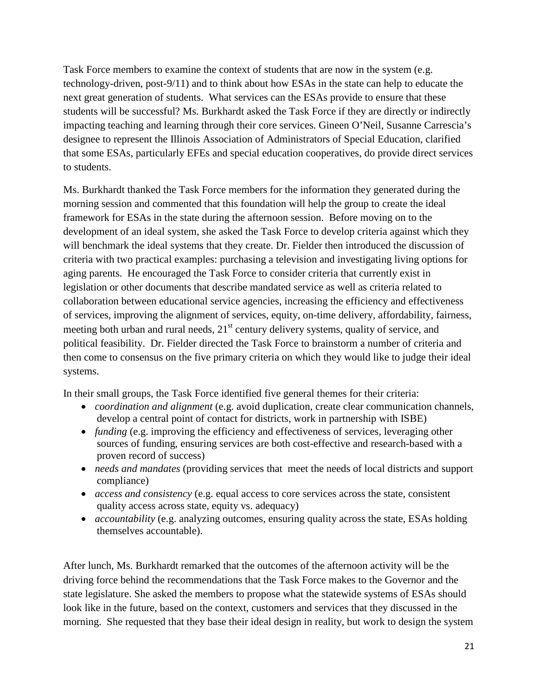Task Force members to examine the context of students that are now in the system (e.g. technology-driven, post-9/11) and to think about how ESAs in the state can help to educate the next great generation of students. What services can the ESAs provide to ensure that these students will be successful? Ms. Burkhardt asked the Task Force if they are directly or indirectly impacting teaching and learning through their core services. Gineen O'Neil, Susanne Carrescia's designee to represent the Illinois Association of Administrators of Special Education, clarified that some ESAs, particularly EFEs and special education cooperatives, do provide direct services to students.

Ms. Burkhardt thanked the Task Force members for the information they generated during the morning session and commented that this foundation will help the group to create the ideal framework for ESAs in the state during the afternoon session. Before moving on to the development of an ideal system, she asked the Task Force to develop criteria against which they will benchmark the ideal systems that they create. Dr. Fielder then introduced the discussion of criteria with two practical examples: purchasing a television and investigating living options for aging parents. He encouraged the Task Force to consider criteria that currently exist in legislation or other documents that describe mandated service as well as criteria related to collaboration between educational service agencies, increasing the efficiency and effectiveness of services, improving the alignment of services, equity, on-time delivery, affordability, fairness, meeting both urban and rural needs,  $21<sup>st</sup>$  century delivery systems, quality of service, and political feasibility. Dr. Fielder directed the Task Force to brainstorm a number of criteria and then come to consensus on the five primary criteria on which they would like to judge their ideal systems.

In their small groups, the Task Force identified five general themes for their criteria:

- *coordination and alignment* (e.g. avoid duplication, create clear communication channels, develop a central point of contact for districts, work in partnership with ISBE)
- *funding* (e.g. improving the efficiency and effectiveness of services, leveraging other sources of funding, ensuring services are both cost-effective and research-based with a proven record of success)
- *needs and mandates* (providing services that meet the needs of local districts and support compliance)
- *access and consistency* (e.g. equal access to core services across the state, consistent quality access across state, equity vs. adequacy)
- *accountability* (e.g. analyzing outcomes, ensuring quality across the state, ESAs holding themselves accountable).

After lunch, Ms. Burkhardt remarked that the outcomes of the afternoon activity will be the driving force behind the recommendations that the Task Force makes to the Governor and the state legislature. She asked the members to propose what the statewide systems of ESAs should look like in the future, based on the context, customers and services that they discussed in the morning. She requested that they base their ideal design in reality, but work to design the system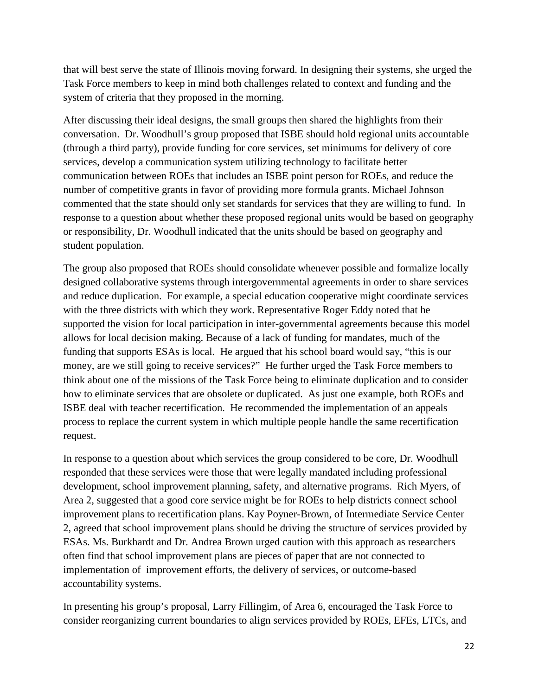that will best serve the state of Illinois moving forward. In designing their systems, she urged the Task Force members to keep in mind both challenges related to context and funding and the system of criteria that they proposed in the morning.

After discussing their ideal designs, the small groups then shared the highlights from their conversation. Dr. Woodhull's group proposed that ISBE should hold regional units accountable (through a third party), provide funding for core services, set minimums for delivery of core services, develop a communication system utilizing technology to facilitate better communication between ROEs that includes an ISBE point person for ROEs, and reduce the number of competitive grants in favor of providing more formula grants. Michael Johnson commented that the state should only set standards for services that they are willing to fund. In response to a question about whether these proposed regional units would be based on geography or responsibility, Dr. Woodhull indicated that the units should be based on geography and student population.

The group also proposed that ROEs should consolidate whenever possible and formalize locally designed collaborative systems through intergovernmental agreements in order to share services and reduce duplication. For example, a special education cooperative might coordinate services with the three districts with which they work. Representative Roger Eddy noted that he supported the vision for local participation in inter-governmental agreements because this model allows for local decision making. Because of a lack of funding for mandates, much of the funding that supports ESAs is local. He argued that his school board would say, "this is our money, are we still going to receive services?" He further urged the Task Force members to think about one of the missions of the Task Force being to eliminate duplication and to consider how to eliminate services that are obsolete or duplicated. As just one example, both ROEs and ISBE deal with teacher recertification. He recommended the implementation of an appeals process to replace the current system in which multiple people handle the same recertification request.

In response to a question about which services the group considered to be core, Dr. Woodhull responded that these services were those that were legally mandated including professional development, school improvement planning, safety, and alternative programs. Rich Myers, of Area 2, suggested that a good core service might be for ROEs to help districts connect school improvement plans to recertification plans. Kay Poyner-Brown, of Intermediate Service Center 2, agreed that school improvement plans should be driving the structure of services provided by ESAs. Ms. Burkhardt and Dr. Andrea Brown urged caution with this approach as researchers often find that school improvement plans are pieces of paper that are not connected to implementation of improvement efforts, the delivery of services, or outcome-based accountability systems.

In presenting his group's proposal, Larry Fillingim, of Area 6, encouraged the Task Force to consider reorganizing current boundaries to align services provided by ROEs, EFEs, LTCs, and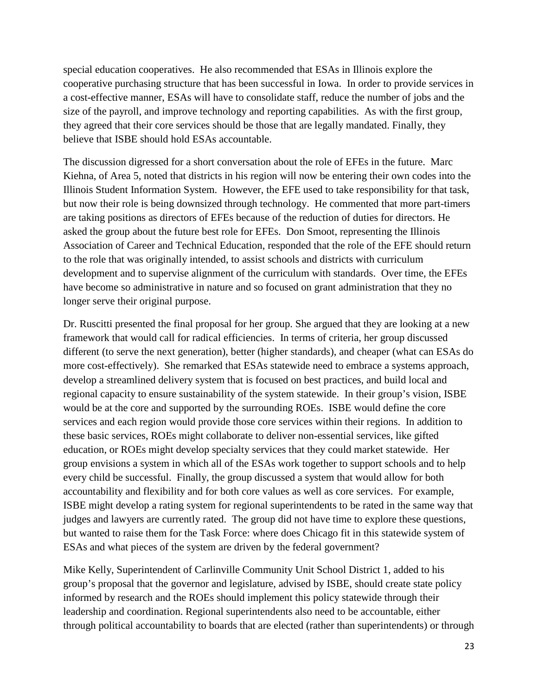special education cooperatives. He also recommended that ESAs in Illinois explore the cooperative purchasing structure that has been successful in Iowa. In order to provide services in a cost-effective manner, ESAs will have to consolidate staff, reduce the number of jobs and the size of the payroll, and improve technology and reporting capabilities. As with the first group, they agreed that their core services should be those that are legally mandated. Finally, they believe that ISBE should hold ESAs accountable.

The discussion digressed for a short conversation about the role of EFEs in the future. Marc Kiehna, of Area 5, noted that districts in his region will now be entering their own codes into the Illinois Student Information System. However, the EFE used to take responsibility for that task, but now their role is being downsized through technology. He commented that more part-timers are taking positions as directors of EFEs because of the reduction of duties for directors. He asked the group about the future best role for EFEs. Don Smoot, representing the Illinois Association of Career and Technical Education, responded that the role of the EFE should return to the role that was originally intended, to assist schools and districts with curriculum development and to supervise alignment of the curriculum with standards. Over time, the EFEs have become so administrative in nature and so focused on grant administration that they no longer serve their original purpose.

Dr. Ruscitti presented the final proposal for her group. She argued that they are looking at a new framework that would call for radical efficiencies. In terms of criteria, her group discussed different (to serve the next generation), better (higher standards), and cheaper (what can ESAs do more cost-effectively). She remarked that ESAs statewide need to embrace a systems approach, develop a streamlined delivery system that is focused on best practices, and build local and regional capacity to ensure sustainability of the system statewide. In their group's vision, ISBE would be at the core and supported by the surrounding ROEs. ISBE would define the core services and each region would provide those core services within their regions. In addition to these basic services, ROEs might collaborate to deliver non-essential services, like gifted education, or ROEs might develop specialty services that they could market statewide. Her group envisions a system in which all of the ESAs work together to support schools and to help every child be successful. Finally, the group discussed a system that would allow for both accountability and flexibility and for both core values as well as core services. For example, ISBE might develop a rating system for regional superintendents to be rated in the same way that judges and lawyers are currently rated. The group did not have time to explore these questions, but wanted to raise them for the Task Force: where does Chicago fit in this statewide system of ESAs and what pieces of the system are driven by the federal government?

Mike Kelly, Superintendent of Carlinville Community Unit School District 1, added to his group's proposal that the governor and legislature, advised by ISBE, should create state policy informed by research and the ROEs should implement this policy statewide through their leadership and coordination. Regional superintendents also need to be accountable, either through political accountability to boards that are elected (rather than superintendents) or through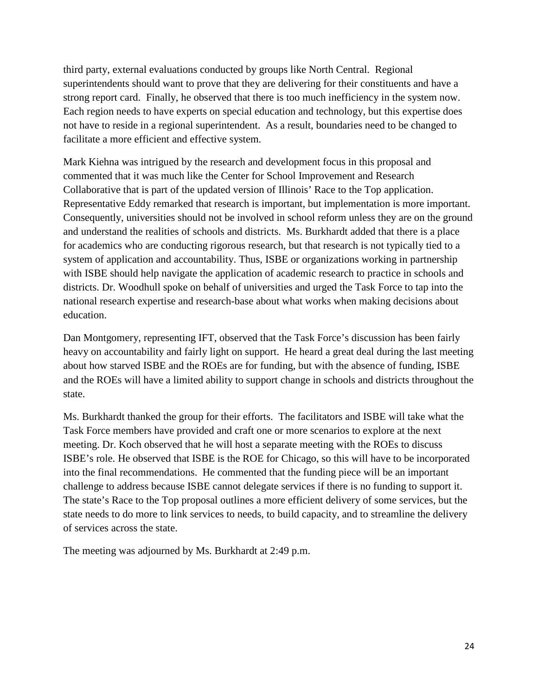third party, external evaluations conducted by groups like North Central. Regional superintendents should want to prove that they are delivering for their constituents and have a strong report card. Finally, he observed that there is too much inefficiency in the system now. Each region needs to have experts on special education and technology, but this expertise does not have to reside in a regional superintendent. As a result, boundaries need to be changed to facilitate a more efficient and effective system.

Mark Kiehna was intrigued by the research and development focus in this proposal and commented that it was much like the Center for School Improvement and Research Collaborative that is part of the updated version of Illinois' Race to the Top application. Representative Eddy remarked that research is important, but implementation is more important. Consequently, universities should not be involved in school reform unless they are on the ground and understand the realities of schools and districts. Ms. Burkhardt added that there is a place for academics who are conducting rigorous research, but that research is not typically tied to a system of application and accountability. Thus, ISBE or organizations working in partnership with ISBE should help navigate the application of academic research to practice in schools and districts. Dr. Woodhull spoke on behalf of universities and urged the Task Force to tap into the national research expertise and research-base about what works when making decisions about education.

Dan Montgomery, representing IFT, observed that the Task Force's discussion has been fairly heavy on accountability and fairly light on support. He heard a great deal during the last meeting about how starved ISBE and the ROEs are for funding, but with the absence of funding, ISBE and the ROEs will have a limited ability to support change in schools and districts throughout the state.

Ms. Burkhardt thanked the group for their efforts. The facilitators and ISBE will take what the Task Force members have provided and craft one or more scenarios to explore at the next meeting. Dr. Koch observed that he will host a separate meeting with the ROEs to discuss ISBE's role. He observed that ISBE is the ROE for Chicago, so this will have to be incorporated into the final recommendations. He commented that the funding piece will be an important challenge to address because ISBE cannot delegate services if there is no funding to support it. The state's Race to the Top proposal outlines a more efficient delivery of some services, but the state needs to do more to link services to needs, to build capacity, and to streamline the delivery of services across the state.

The meeting was adjourned by Ms. Burkhardt at 2:49 p.m.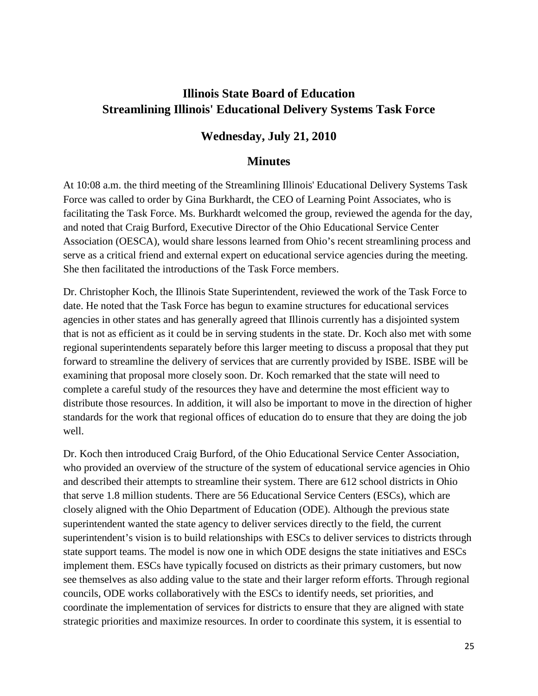# **Illinois State Board of Education Streamlining Illinois' Educational Delivery Systems Task Force**

# **Wednesday, July 21, 2010**

## **Minutes**

At 10:08 a.m. the third meeting of the Streamlining Illinois' Educational Delivery Systems Task Force was called to order by Gina Burkhardt, the CEO of Learning Point Associates, who is facilitating the Task Force. Ms. Burkhardt welcomed the group, reviewed the agenda for the day, and noted that Craig Burford, Executive Director of the Ohio Educational Service Center Association (OESCA), would share lessons learned from Ohio's recent streamlining process and serve as a critical friend and external expert on educational service agencies during the meeting. She then facilitated the introductions of the Task Force members.

Dr. Christopher Koch, the Illinois State Superintendent, reviewed the work of the Task Force to date. He noted that the Task Force has begun to examine structures for educational services agencies in other states and has generally agreed that Illinois currently has a disjointed system that is not as efficient as it could be in serving students in the state. Dr. Koch also met with some regional superintendents separately before this larger meeting to discuss a proposal that they put forward to streamline the delivery of services that are currently provided by ISBE. ISBE will be examining that proposal more closely soon. Dr. Koch remarked that the state will need to complete a careful study of the resources they have and determine the most efficient way to distribute those resources. In addition, it will also be important to move in the direction of higher standards for the work that regional offices of education do to ensure that they are doing the job well.

Dr. Koch then introduced Craig Burford, of the Ohio Educational Service Center Association, who provided an overview of the structure of the system of educational service agencies in Ohio and described their attempts to streamline their system. There are 612 school districts in Ohio that serve 1.8 million students. There are 56 Educational Service Centers (ESCs), which are closely aligned with the Ohio Department of Education (ODE). Although the previous state superintendent wanted the state agency to deliver services directly to the field, the current superintendent's vision is to build relationships with ESCs to deliver services to districts through state support teams. The model is now one in which ODE designs the state initiatives and ESCs implement them. ESCs have typically focused on districts as their primary customers, but now see themselves as also adding value to the state and their larger reform efforts. Through regional councils, ODE works collaboratively with the ESCs to identify needs, set priorities, and coordinate the implementation of services for districts to ensure that they are aligned with state strategic priorities and maximize resources. In order to coordinate this system, it is essential to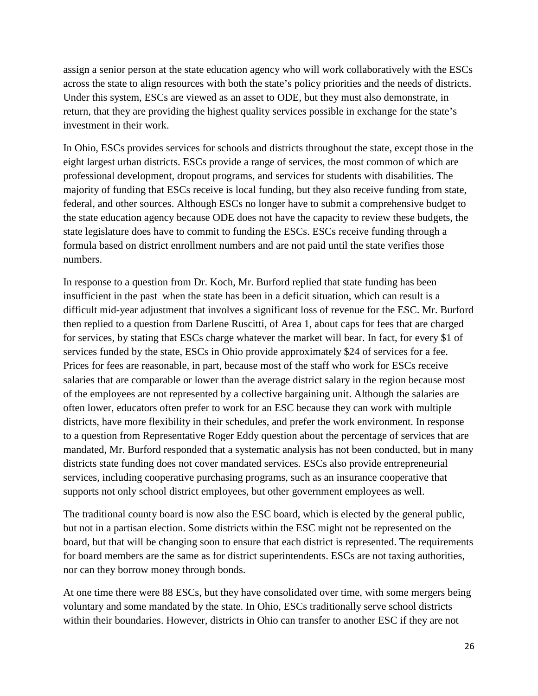assign a senior person at the state education agency who will work collaboratively with the ESCs across the state to align resources with both the state's policy priorities and the needs of districts. Under this system, ESCs are viewed as an asset to ODE, but they must also demonstrate, in return, that they are providing the highest quality services possible in exchange for the state's investment in their work.

In Ohio, ESCs provides services for schools and districts throughout the state, except those in the eight largest urban districts. ESCs provide a range of services, the most common of which are professional development, dropout programs, and services for students with disabilities. The majority of funding that ESCs receive is local funding, but they also receive funding from state, federal, and other sources. Although ESCs no longer have to submit a comprehensive budget to the state education agency because ODE does not have the capacity to review these budgets, the state legislature does have to commit to funding the ESCs. ESCs receive funding through a formula based on district enrollment numbers and are not paid until the state verifies those numbers.

In response to a question from Dr. Koch, Mr. Burford replied that state funding has been insufficient in the past when the state has been in a deficit situation, which can result is a difficult mid-year adjustment that involves a significant loss of revenue for the ESC. Mr. Burford then replied to a question from Darlene Ruscitti, of Area 1, about caps for fees that are charged for services, by stating that ESCs charge whatever the market will bear. In fact, for every \$1 of services funded by the state, ESCs in Ohio provide approximately \$24 of services for a fee. Prices for fees are reasonable, in part, because most of the staff who work for ESCs receive salaries that are comparable or lower than the average district salary in the region because most of the employees are not represented by a collective bargaining unit. Although the salaries are often lower, educators often prefer to work for an ESC because they can work with multiple districts, have more flexibility in their schedules, and prefer the work environment. In response to a question from Representative Roger Eddy question about the percentage of services that are mandated, Mr. Burford responded that a systematic analysis has not been conducted, but in many districts state funding does not cover mandated services. ESCs also provide entrepreneurial services, including cooperative purchasing programs, such as an insurance cooperative that supports not only school district employees, but other government employees as well.

The traditional county board is now also the ESC board, which is elected by the general public, but not in a partisan election. Some districts within the ESC might not be represented on the board, but that will be changing soon to ensure that each district is represented. The requirements for board members are the same as for district superintendents. ESCs are not taxing authorities, nor can they borrow money through bonds.

At one time there were 88 ESCs, but they have consolidated over time, with some mergers being voluntary and some mandated by the state. In Ohio, ESCs traditionally serve school districts within their boundaries. However, districts in Ohio can transfer to another ESC if they are not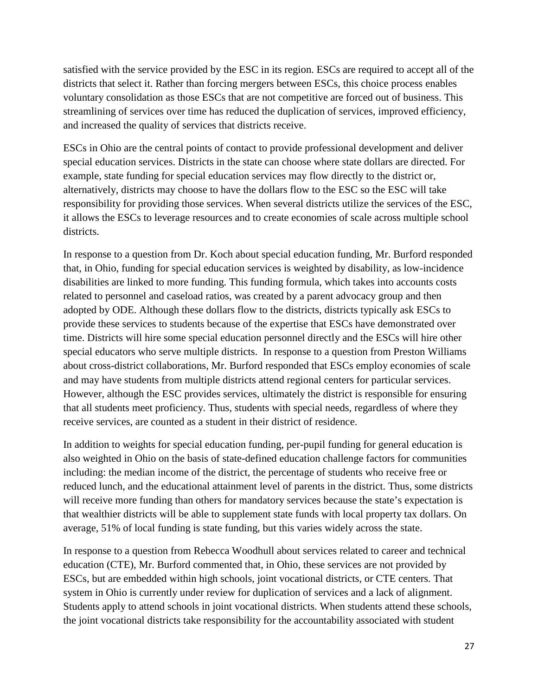satisfied with the service provided by the ESC in its region. ESCs are required to accept all of the districts that select it. Rather than forcing mergers between ESCs, this choice process enables voluntary consolidation as those ESCs that are not competitive are forced out of business. This streamlining of services over time has reduced the duplication of services, improved efficiency, and increased the quality of services that districts receive.

ESCs in Ohio are the central points of contact to provide professional development and deliver special education services. Districts in the state can choose where state dollars are directed. For example, state funding for special education services may flow directly to the district or, alternatively, districts may choose to have the dollars flow to the ESC so the ESC will take responsibility for providing those services. When several districts utilize the services of the ESC, it allows the ESCs to leverage resources and to create economies of scale across multiple school districts.

In response to a question from Dr. Koch about special education funding, Mr. Burford responded that, in Ohio, funding for special education services is weighted by disability, as low-incidence disabilities are linked to more funding. This funding formula, which takes into accounts costs related to personnel and caseload ratios, was created by a parent advocacy group and then adopted by ODE. Although these dollars flow to the districts, districts typically ask ESCs to provide these services to students because of the expertise that ESCs have demonstrated over time. Districts will hire some special education personnel directly and the ESCs will hire other special educators who serve multiple districts. In response to a question from Preston Williams about cross-district collaborations, Mr. Burford responded that ESCs employ economies of scale and may have students from multiple districts attend regional centers for particular services. However, although the ESC provides services, ultimately the district is responsible for ensuring that all students meet proficiency. Thus, students with special needs, regardless of where they receive services, are counted as a student in their district of residence.

In addition to weights for special education funding, per-pupil funding for general education is also weighted in Ohio on the basis of state-defined education challenge factors for communities including: the median income of the district, the percentage of students who receive free or reduced lunch, and the educational attainment level of parents in the district. Thus, some districts will receive more funding than others for mandatory services because the state's expectation is that wealthier districts will be able to supplement state funds with local property tax dollars. On average, 51% of local funding is state funding, but this varies widely across the state.

In response to a question from Rebecca Woodhull about services related to career and technical education (CTE), Mr. Burford commented that, in Ohio, these services are not provided by ESCs, but are embedded within high schools, joint vocational districts, or CTE centers. That system in Ohio is currently under review for duplication of services and a lack of alignment. Students apply to attend schools in joint vocational districts. When students attend these schools, the joint vocational districts take responsibility for the accountability associated with student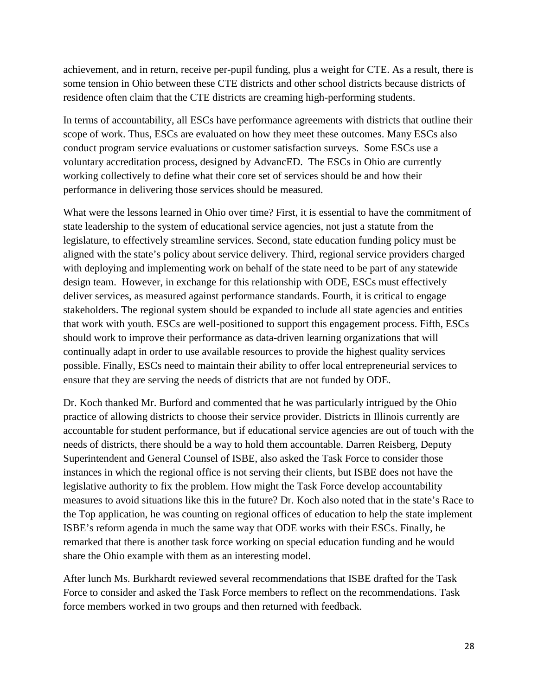achievement, and in return, receive per-pupil funding, plus a weight for CTE. As a result, there is some tension in Ohio between these CTE districts and other school districts because districts of residence often claim that the CTE districts are creaming high-performing students.

In terms of accountability, all ESCs have performance agreements with districts that outline their scope of work. Thus, ESCs are evaluated on how they meet these outcomes. Many ESCs also conduct program service evaluations or customer satisfaction surveys. Some ESCs use a voluntary accreditation process, designed by AdvancED. The ESCs in Ohio are currently working collectively to define what their core set of services should be and how their performance in delivering those services should be measured.

What were the lessons learned in Ohio over time? First, it is essential to have the commitment of state leadership to the system of educational service agencies, not just a statute from the legislature, to effectively streamline services. Second, state education funding policy must be aligned with the state's policy about service delivery. Third, regional service providers charged with deploying and implementing work on behalf of the state need to be part of any statewide design team. However, in exchange for this relationship with ODE, ESCs must effectively deliver services, as measured against performance standards. Fourth, it is critical to engage stakeholders. The regional system should be expanded to include all state agencies and entities that work with youth. ESCs are well-positioned to support this engagement process. Fifth, ESCs should work to improve their performance as data-driven learning organizations that will continually adapt in order to use available resources to provide the highest quality services possible. Finally, ESCs need to maintain their ability to offer local entrepreneurial services to ensure that they are serving the needs of districts that are not funded by ODE.

Dr. Koch thanked Mr. Burford and commented that he was particularly intrigued by the Ohio practice of allowing districts to choose their service provider. Districts in Illinois currently are accountable for student performance, but if educational service agencies are out of touch with the needs of districts, there should be a way to hold them accountable. Darren Reisberg, Deputy Superintendent and General Counsel of ISBE, also asked the Task Force to consider those instances in which the regional office is not serving their clients, but ISBE does not have the legislative authority to fix the problem. How might the Task Force develop accountability measures to avoid situations like this in the future? Dr. Koch also noted that in the state's Race to the Top application, he was counting on regional offices of education to help the state implement ISBE's reform agenda in much the same way that ODE works with their ESCs. Finally, he remarked that there is another task force working on special education funding and he would share the Ohio example with them as an interesting model.

After lunch Ms. Burkhardt reviewed several recommendations that ISBE drafted for the Task Force to consider and asked the Task Force members to reflect on the recommendations. Task force members worked in two groups and then returned with feedback.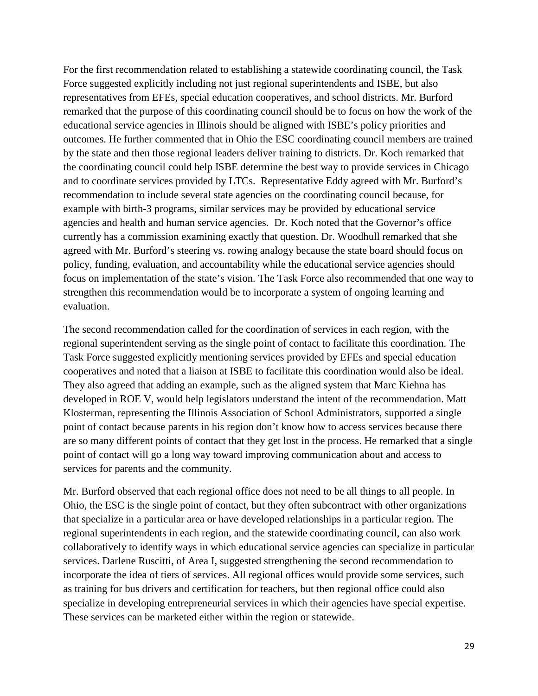For the first recommendation related to establishing a statewide coordinating council, the Task Force suggested explicitly including not just regional superintendents and ISBE, but also representatives from EFEs, special education cooperatives, and school districts. Mr. Burford remarked that the purpose of this coordinating council should be to focus on how the work of the educational service agencies in Illinois should be aligned with ISBE's policy priorities and outcomes. He further commented that in Ohio the ESC coordinating council members are trained by the state and then those regional leaders deliver training to districts. Dr. Koch remarked that the coordinating council could help ISBE determine the best way to provide services in Chicago and to coordinate services provided by LTCs. Representative Eddy agreed with Mr. Burford's recommendation to include several state agencies on the coordinating council because, for example with birth-3 programs, similar services may be provided by educational service agencies and health and human service agencies. Dr. Koch noted that the Governor's office currently has a commission examining exactly that question. Dr. Woodhull remarked that she agreed with Mr. Burford's steering vs. rowing analogy because the state board should focus on policy, funding, evaluation, and accountability while the educational service agencies should focus on implementation of the state's vision. The Task Force also recommended that one way to strengthen this recommendation would be to incorporate a system of ongoing learning and evaluation.

The second recommendation called for the coordination of services in each region, with the regional superintendent serving as the single point of contact to facilitate this coordination. The Task Force suggested explicitly mentioning services provided by EFEs and special education cooperatives and noted that a liaison at ISBE to facilitate this coordination would also be ideal. They also agreed that adding an example, such as the aligned system that Marc Kiehna has developed in ROE V, would help legislators understand the intent of the recommendation. Matt Klosterman, representing the Illinois Association of School Administrators, supported a single point of contact because parents in his region don't know how to access services because there are so many different points of contact that they get lost in the process. He remarked that a single point of contact will go a long way toward improving communication about and access to services for parents and the community.

Mr. Burford observed that each regional office does not need to be all things to all people. In Ohio, the ESC is the single point of contact, but they often subcontract with other organizations that specialize in a particular area or have developed relationships in a particular region. The regional superintendents in each region, and the statewide coordinating council, can also work collaboratively to identify ways in which educational service agencies can specialize in particular services. Darlene Ruscitti, of Area I, suggested strengthening the second recommendation to incorporate the idea of tiers of services. All regional offices would provide some services, such as training for bus drivers and certification for teachers, but then regional office could also specialize in developing entrepreneurial services in which their agencies have special expertise. These services can be marketed either within the region or statewide.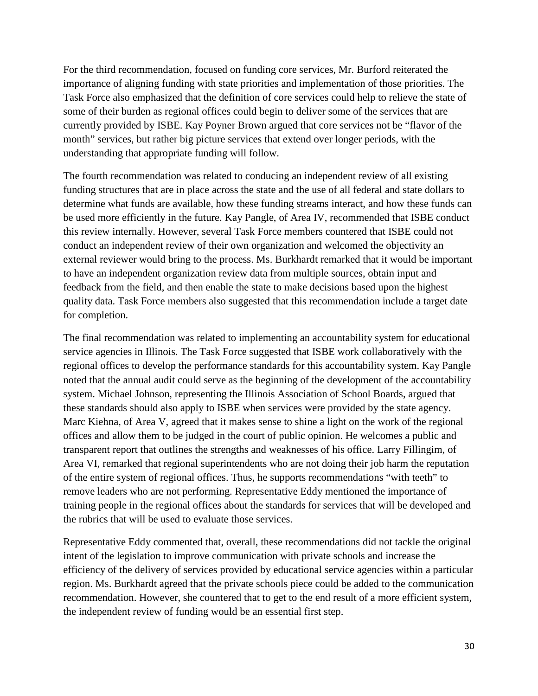For the third recommendation, focused on funding core services, Mr. Burford reiterated the importance of aligning funding with state priorities and implementation of those priorities. The Task Force also emphasized that the definition of core services could help to relieve the state of some of their burden as regional offices could begin to deliver some of the services that are currently provided by ISBE. Kay Poyner Brown argued that core services not be "flavor of the month" services, but rather big picture services that extend over longer periods, with the understanding that appropriate funding will follow.

The fourth recommendation was related to conducing an independent review of all existing funding structures that are in place across the state and the use of all federal and state dollars to determine what funds are available, how these funding streams interact, and how these funds can be used more efficiently in the future. Kay Pangle, of Area IV, recommended that ISBE conduct this review internally. However, several Task Force members countered that ISBE could not conduct an independent review of their own organization and welcomed the objectivity an external reviewer would bring to the process. Ms. Burkhardt remarked that it would be important to have an independent organization review data from multiple sources, obtain input and feedback from the field, and then enable the state to make decisions based upon the highest quality data. Task Force members also suggested that this recommendation include a target date for completion.

The final recommendation was related to implementing an accountability system for educational service agencies in Illinois. The Task Force suggested that ISBE work collaboratively with the regional offices to develop the performance standards for this accountability system. Kay Pangle noted that the annual audit could serve as the beginning of the development of the accountability system. Michael Johnson, representing the Illinois Association of School Boards, argued that these standards should also apply to ISBE when services were provided by the state agency. Marc Kiehna, of Area V, agreed that it makes sense to shine a light on the work of the regional offices and allow them to be judged in the court of public opinion. He welcomes a public and transparent report that outlines the strengths and weaknesses of his office. Larry Fillingim, of Area VI, remarked that regional superintendents who are not doing their job harm the reputation of the entire system of regional offices. Thus, he supports recommendations "with teeth" to remove leaders who are not performing. Representative Eddy mentioned the importance of training people in the regional offices about the standards for services that will be developed and the rubrics that will be used to evaluate those services.

Representative Eddy commented that, overall, these recommendations did not tackle the original intent of the legislation to improve communication with private schools and increase the efficiency of the delivery of services provided by educational service agencies within a particular region. Ms. Burkhardt agreed that the private schools piece could be added to the communication recommendation. However, she countered that to get to the end result of a more efficient system, the independent review of funding would be an essential first step.